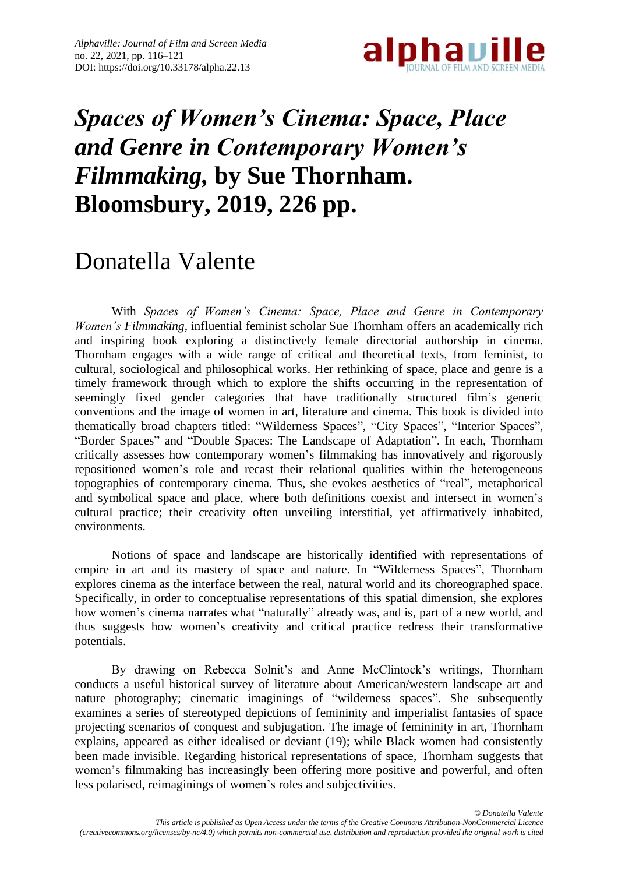

## *Spaces of Women's Cinema: Space, Place and Genre in Contemporary Women's Filmmaking,* **by Sue Thornham. Bloomsbury, 2019, 226 pp.**

## Donatella Valente

With *Spaces of Women's Cinema: Space, Place and Genre in Contemporary Women's Filmmaking*, influential feminist scholar Sue Thornham offers an academically rich and inspiring book exploring a distinctively female directorial authorship in cinema. Thornham engages with a wide range of critical and theoretical texts, from feminist, to cultural, sociological and philosophical works. Her rethinking of space, place and genre is a timely framework through which to explore the shifts occurring in the representation of seemingly fixed gender categories that have traditionally structured film's generic conventions and the image of women in art, literature and cinema. This book is divided into thematically broad chapters titled: "Wilderness Spaces", "City Spaces", "Interior Spaces", "Border Spaces" and "Double Spaces: The Landscape of Adaptation". In each, Thornham critically assesses how contemporary women's filmmaking has innovatively and rigorously repositioned women's role and recast their relational qualities within the heterogeneous topographies of contemporary cinema. Thus, she evokes aesthetics of "real", metaphorical and symbolical space and place, where both definitions coexist and intersect in women's cultural practice; their creativity often unveiling interstitial, yet affirmatively inhabited, environments.

Notions of space and landscape are historically identified with representations of empire in art and its mastery of space and nature. In "Wilderness Spaces", Thornham explores cinema as the interface between the real, natural world and its choreographed space. Specifically, in order to conceptualise representations of this spatial dimension, she explores how women's cinema narrates what "naturally" already was, and is, part of a new world, and thus suggests how women's creativity and critical practice redress their transformative potentials.

By drawing on Rebecca Solnit's and Anne McClintock's writings, Thornham conducts a useful historical survey of literature about American/western landscape art and nature photography; cinematic imaginings of "wilderness spaces". She subsequently examines a series of stereotyped depictions of femininity and imperialist fantasies of space projecting scenarios of conquest and subjugation. The image of femininity in art, Thornham explains, appeared as either idealised or deviant (19); while Black women had consistently been made invisible. Regarding historical representations of space, Thornham suggests that women's filmmaking has increasingly been offering more positive and powerful, and often less polarised, reimaginings of women's roles and subjectivities.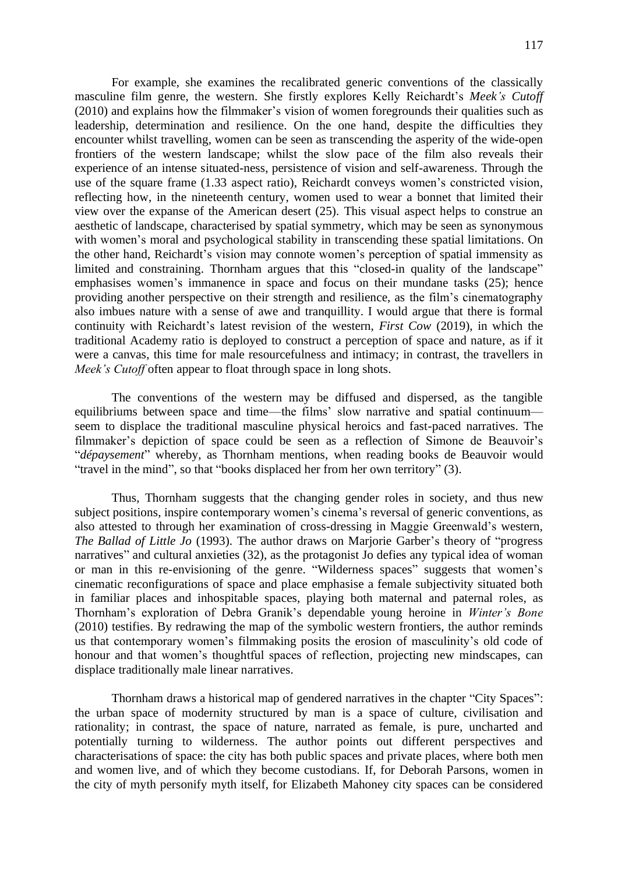For example, she examines the recalibrated generic conventions of the classically masculine film genre, the western. She firstly explores Kelly Reichardt's *Meek's Cutoff* (2010) and explains how the filmmaker's vision of women foregrounds their qualities such as leadership, determination and resilience. On the one hand, despite the difficulties they encounter whilst travelling, women can be seen as transcending the asperity of the wide-open frontiers of the western landscape; whilst the slow pace of the film also reveals their experience of an intense situated-ness, persistence of vision and self-awareness. Through the use of the square frame (1.33 aspect ratio), Reichardt conveys women's constricted vision, reflecting how, in the nineteenth century, women used to wear a bonnet that limited their view over the expanse of the American desert (25). This visual aspect helps to construe an aesthetic of landscape, characterised by spatial symmetry, which may be seen as synonymous with women's moral and psychological stability in transcending these spatial limitations. On the other hand, Reichardt's vision may connote women's perception of spatial immensity as limited and constraining. Thornham argues that this "closed-in quality of the landscape" emphasises women's immanence in space and focus on their mundane tasks (25); hence providing another perspective on their strength and resilience, as the film's cinematography also imbues nature with a sense of awe and tranquillity. I would argue that there is formal continuity with Reichardt's latest revision of the western, *First Cow* (2019), in which the traditional Academy ratio is deployed to construct a perception of space and nature, as if it were a canvas, this time for male resourcefulness and intimacy; in contrast, the travellers in *Meek's Cutoff* often appear to float through space in long shots.

The conventions of the western may be diffused and dispersed, as the tangible equilibriums between space and time—the films' slow narrative and spatial continuum seem to displace the traditional masculine physical heroics and fast-paced narratives. The filmmaker's depiction of space could be seen as a reflection of Simone de Beauvoir's "*dépaysement*" whereby, as Thornham mentions, when reading books de Beauvoir would "travel in the mind", so that "books displaced her from her own territory" (3).

Thus, Thornham suggests that the changing gender roles in society, and thus new subject positions, inspire contemporary women's cinema's reversal of generic conventions, as also attested to through her examination of cross-dressing in Maggie Greenwald's western, *The Ballad of Little Jo* (1993). The author draws on Marjorie Garber's theory of "progress narratives" and cultural anxieties (32), as the protagonist Jo defies any typical idea of woman or man in this re-envisioning of the genre. "Wilderness spaces" suggests that women's cinematic reconfigurations of space and place emphasise a female subjectivity situated both in familiar places and inhospitable spaces, playing both maternal and paternal roles, as Thornham's exploration of Debra Granik's dependable young heroine in *Winter's Bone* (2010) testifies. By redrawing the map of the symbolic western frontiers, the author reminds us that contemporary women's filmmaking posits the erosion of masculinity's old code of honour and that women's thoughtful spaces of reflection, projecting new mindscapes, can displace traditionally male linear narratives.

Thornham draws a historical map of gendered narratives in the chapter "City Spaces": the urban space of modernity structured by man is a space of culture, civilisation and rationality; in contrast, the space of nature, narrated as female, is pure, uncharted and potentially turning to wilderness. The author points out different perspectives and characterisations of space: the city has both public spaces and private places, where both men and women live, and of which they become custodians. If, for Deborah Parsons, women in the city of myth personify myth itself, for Elizabeth Mahoney city spaces can be considered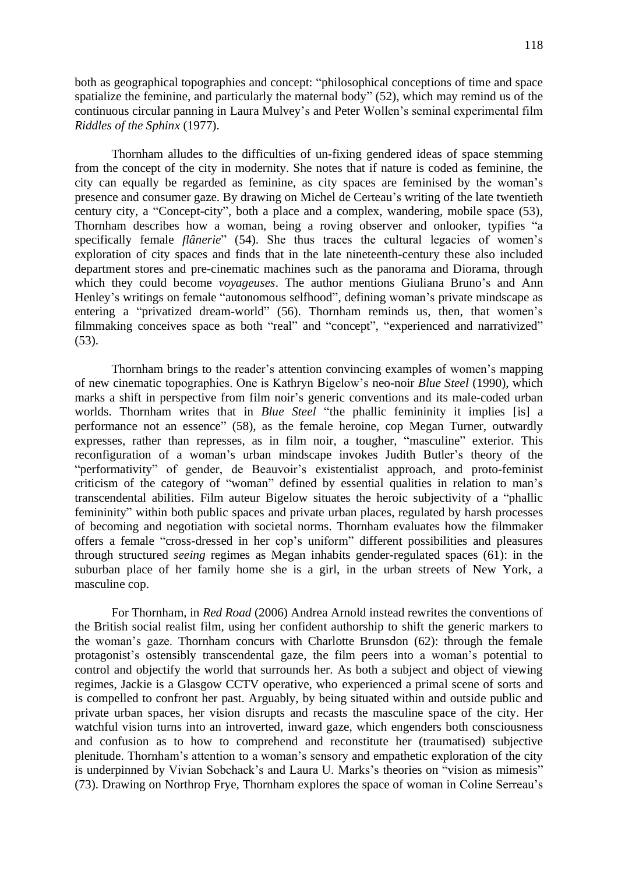both as geographical topographies and concept: "philosophical conceptions of time and space spatialize the feminine, and particularly the maternal body" (52), which may remind us of the continuous circular panning in Laura Mulvey's and Peter Wollen's seminal experimental film *Riddles of the Sphinx* (1977).

Thornham alludes to the difficulties of un-fixing gendered ideas of space stemming from the concept of the city in modernity. She notes that if nature is coded as feminine, the city can equally be regarded as feminine, as city spaces are feminised by the woman's presence and consumer gaze. By drawing on Michel de Certeau's writing of the late twentieth century city, a "Concept-city", both a place and a complex, wandering, mobile space (53), Thornham describes how a woman, being a roving observer and onlooker, typifies "a specifically female *flânerie*" (54). She thus traces the cultural legacies of women's exploration of city spaces and finds that in the late nineteenth-century these also included department stores and pre-cinematic machines such as the panorama and Diorama, through which they could become *voyageuses*. The author mentions Giuliana Bruno's and Ann Henley's writings on female "autonomous selfhood", defining woman's private mindscape as entering a "privatized dream-world" (56). Thornham reminds us, then, that women's filmmaking conceives space as both "real" and "concept", "experienced and narrativized" (53).

Thornham brings to the reader's attention convincing examples of women's mapping of new cinematic topographies. One is Kathryn Bigelow's neo-noir *Blue Steel* (1990), which marks a shift in perspective from film noir's generic conventions and its male-coded urban worlds. Thornham writes that in *Blue Steel* "the phallic femininity it implies [is] a performance not an essence" (58), as the female heroine, cop Megan Turner, outwardly expresses, rather than represses, as in film noir, a tougher, "masculine" exterior. This reconfiguration of a woman's urban mindscape invokes Judith Butler's theory of the "performativity" of gender, de Beauvoir's existentialist approach, and proto-feminist criticism of the category of "woman" defined by essential qualities in relation to man's transcendental abilities. Film auteur Bigelow situates the heroic subjectivity of a "phallic femininity" within both public spaces and private urban places, regulated by harsh processes of becoming and negotiation with societal norms. Thornham evaluates how the filmmaker offers a female "cross-dressed in her cop's uniform" different possibilities and pleasures through structured *seeing* regimes as Megan inhabits gender-regulated spaces (61): in the suburban place of her family home she is a girl, in the urban streets of New York, a masculine cop.

For Thornham, in *Red Road* (2006) Andrea Arnold instead rewrites the conventions of the British social realist film, using her confident authorship to shift the generic markers to the woman's gaze. Thornham concurs with Charlotte Brunsdon (62): through the female protagonist's ostensibly transcendental gaze, the film peers into a woman's potential to control and objectify the world that surrounds her. As both a subject and object of viewing regimes, Jackie is a Glasgow CCTV operative, who experienced a primal scene of sorts and is compelled to confront her past. Arguably, by being situated within and outside public and private urban spaces, her vision disrupts and recasts the masculine space of the city. Her watchful vision turns into an introverted, inward gaze, which engenders both consciousness and confusion as to how to comprehend and reconstitute her (traumatised) subjective plenitude. Thornham's attention to a woman's sensory and empathetic exploration of the city is underpinned by Vivian Sobchack's and Laura U. Marks's theories on "vision as mimesis" (73). Drawing on Northrop Frye, Thornham explores the space of woman in Coline Serreau's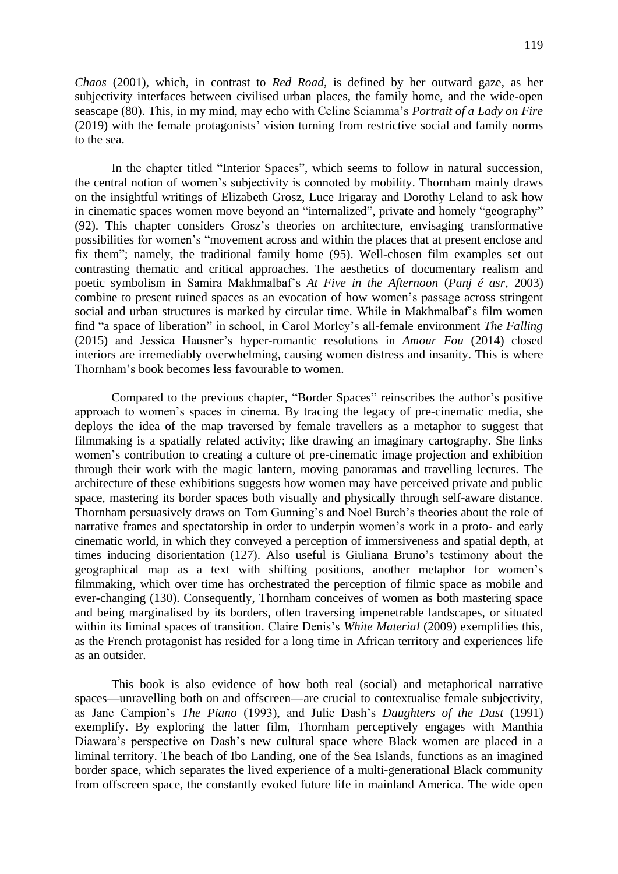*Chaos* (2001), which, in contrast to *Red Road*, is defined by her outward gaze, as her subjectivity interfaces between civilised urban places, the family home, and the wide-open seascape (80). This, in my mind, may echo with Celine Sciamma's *Portrait of a Lady on Fire* (2019) with the female protagonists' vision turning from restrictive social and family norms to the sea.

In the chapter titled "Interior Spaces", which seems to follow in natural succession, the central notion of women's subjectivity is connoted by mobility. Thornham mainly draws on the insightful writings of Elizabeth Grosz, Luce Irigaray and Dorothy Leland to ask how in cinematic spaces women move beyond an "internalized", private and homely "geography" (92). This chapter considers Grosz's theories on architecture, envisaging transformative possibilities for women's "movement across and within the places that at present enclose and fix them"; namely, the traditional family home (95). Well-chosen film examples set out contrasting thematic and critical approaches. The aesthetics of documentary realism and poetic symbolism in Samira Makhmalbaf's *At Five in the Afternoon* (*Panj é asr*, 2003) combine to present ruined spaces as an evocation of how women's passage across stringent social and urban structures is marked by circular time. While in Makhmalbaf's film women find "a space of liberation" in school, in Carol Morley's all-female environment *The Falling* (2015) and Jessica Hausner's hyper-romantic resolutions in *Amour Fou* (2014) closed interiors are irremediably overwhelming, causing women distress and insanity. This is where Thornham's book becomes less favourable to women.

Compared to the previous chapter, "Border Spaces" reinscribes the author's positive approach to women's spaces in cinema. By tracing the legacy of pre-cinematic media, she deploys the idea of the map traversed by female travellers as a metaphor to suggest that filmmaking is a spatially related activity; like drawing an imaginary cartography. She links women's contribution to creating a culture of pre-cinematic image projection and exhibition through their work with the magic lantern, moving panoramas and travelling lectures. The architecture of these exhibitions suggests how women may have perceived private and public space, mastering its border spaces both visually and physically through self-aware distance. Thornham persuasively draws on Tom Gunning's and Noel Burch's theories about the role of narrative frames and spectatorship in order to underpin women's work in a proto- and early cinematic world, in which they conveyed a perception of immersiveness and spatial depth, at times inducing disorientation (127). Also useful is Giuliana Bruno's testimony about the geographical map as a text with shifting positions, another metaphor for women's filmmaking, which over time has orchestrated the perception of filmic space as mobile and ever-changing (130). Consequently, Thornham conceives of women as both mastering space and being marginalised by its borders, often traversing impenetrable landscapes, or situated within its liminal spaces of transition. Claire Denis's *White Material* (2009) exemplifies this, as the French protagonist has resided for a long time in African territory and experiences life as an outsider.

This book is also evidence of how both real (social) and metaphorical narrative spaces—unravelling both on and offscreen—are crucial to contextualise female subjectivity, as Jane Campion's *The Piano* (1993), and Julie Dash's *Daughters of the Dust* (1991) exemplify. By exploring the latter film, Thornham perceptively engages with Manthia Diawara's perspective on Dash's new cultural space where Black women are placed in a liminal territory. The beach of Ibo Landing, one of the Sea Islands, functions as an imagined border space, which separates the lived experience of a multi-generational Black community from offscreen space, the constantly evoked future life in mainland America. The wide open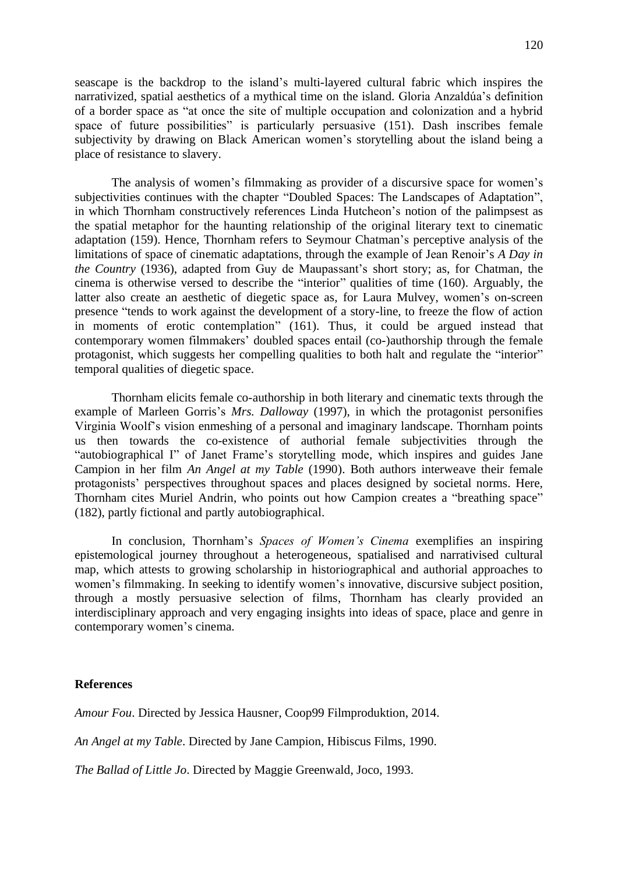seascape is the backdrop to the island's multi-layered cultural fabric which inspires the narrativized, spatial aesthetics of a mythical time on the island. Gloria Anzaldúa's definition of a border space as "at once the site of multiple occupation and colonization and a hybrid space of future possibilities" is particularly persuasive (151). Dash inscribes female subjectivity by drawing on Black American women's storytelling about the island being a place of resistance to slavery.

The analysis of women's filmmaking as provider of a discursive space for women's subjectivities continues with the chapter "Doubled Spaces: The Landscapes of Adaptation", in which Thornham constructively references Linda Hutcheon's notion of the palimpsest as the spatial metaphor for the haunting relationship of the original literary text to cinematic adaptation (159). Hence, Thornham refers to Seymour Chatman's perceptive analysis of the limitations of space of cinematic adaptations, through the example of Jean Renoir's *A Day in the Country* (1936), adapted from Guy de Maupassant's short story; as, for Chatman, the cinema is otherwise versed to describe the "interior" qualities of time (160). Arguably, the latter also create an aesthetic of diegetic space as, for Laura Mulvey, women's on-screen presence "tends to work against the development of a story-line, to freeze the flow of action in moments of erotic contemplation" (161). Thus, it could be argued instead that contemporary women filmmakers' doubled spaces entail (co-)authorship through the female protagonist, which suggests her compelling qualities to both halt and regulate the "interior" temporal qualities of diegetic space.

Thornham elicits female co-authorship in both literary and cinematic texts through the example of Marleen Gorris's *Mrs. Dalloway* (1997), in which the protagonist personifies Virginia Woolf's vision enmeshing of a personal and imaginary landscape. Thornham points us then towards the co-existence of authorial female subjectivities through the "autobiographical I" of Janet Frame's storytelling mode, which inspires and guides Jane Campion in her film *An Angel at my Table* (1990). Both authors interweave their female protagonists' perspectives throughout spaces and places designed by societal norms. Here, Thornham cites Muriel Andrin, who points out how Campion creates a "breathing space" (182), partly fictional and partly autobiographical.

In conclusion, Thornham's *Spaces of Women's Cinema* exemplifies an inspiring epistemological journey throughout a heterogeneous, spatialised and narrativised cultural map, which attests to growing scholarship in historiographical and authorial approaches to women's filmmaking. In seeking to identify women's innovative, discursive subject position, through a mostly persuasive selection of films, Thornham has clearly provided an interdisciplinary approach and very engaging insights into ideas of space, place and genre in contemporary women's cinema.

## **References**

*Amour Fou*. Directed by Jessica Hausner, Coop99 Filmproduktion, 2014.

*An Angel at my Table*. Directed by Jane Campion, Hibiscus Films, 1990.

*The Ballad of Little Jo*. Directed by Maggie Greenwald, Joco, 1993.